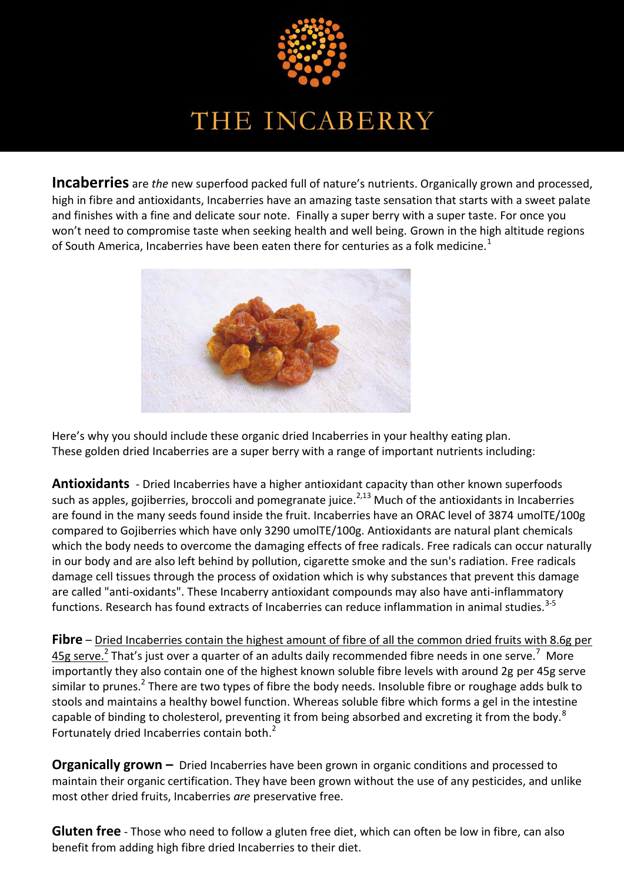

**Incaberries** are *the* new superfood packed full of nature's nutrients. Organically grown and processed, high in fibre and antioxidants, Incaberries have an amazing taste sensation that starts with a sweet palate and finishes with a fine and delicate sour note. Finally a super berry with a super taste. For once you won't need to compromise taste when seeking health and well being. Grown in the high altitude regions of South America, Incaberries have been eaten there for centuries as a folk medicine.<sup>1</sup>



Here's why you should include these organic dried Incaberries in your healthy eating plan. These golden dried Incaberries are a super berry with a range of important nutrients including:

**Antioxidants** - Dried Incaberries have a higher antioxidant capacity than other known superfoods such as apples, gojiberries, broccoli and pomegranate juice. $^{2,13}$  Much of the antioxidants in Incaberries are found in the many seeds found inside the fruit. Incaberries have an ORAC level of 3874 umolTE/100g compared to Gojiberries which have only 3290 umolTE/100g. Antioxidants are natural plant chemicals which the body needs to overcome the damaging effects of free radicals. Free radicals can occur naturally in our body and are also left behind by pollution, cigarette smoke and the sun's radiation. Free radicals damage cell tissues through the process of oxidation which is why substances that prevent this damage are called "anti-oxidants". These Incaberry antioxidant compounds may also have anti-inflammatory functions. Research has found extracts of Incaberries can reduce inflammation in animal studies.<sup>3-5</sup>

**Fibre** – Dried Incaberries contain the highest amount of fibre of all the common dried fruits with 8.6g per  $45$ g serve.<sup>2</sup> That's just over a quarter of an adults daily recommended fibre needs in one serve.<sup>7</sup> More importantly they also contain one of the highest known soluble fibre levels with around 2g per 45g serve similar to prunes.<sup>2</sup> There are two types of fibre the body needs. Insoluble fibre or roughage adds bulk to stools and maintains a healthy bowel function. Whereas soluble fibre which forms a gel in the intestine capable of binding to cholesterol, preventing it from being absorbed and excreting it from the body.<sup>8</sup> Fortunately dried Incaberries contain both.<sup>2</sup>

**Organically grown –** Dried Incaberries have been grown in organic conditions and processed to maintain their organic certification. They have been grown without the use of any pesticides, and unlike most other dried fruits, Incaberries *are* preservative free.

**Gluten free** - Those who need to follow a gluten free diet, which can often be low in fibre, can also benefit from adding high fibre dried Incaberries to their diet.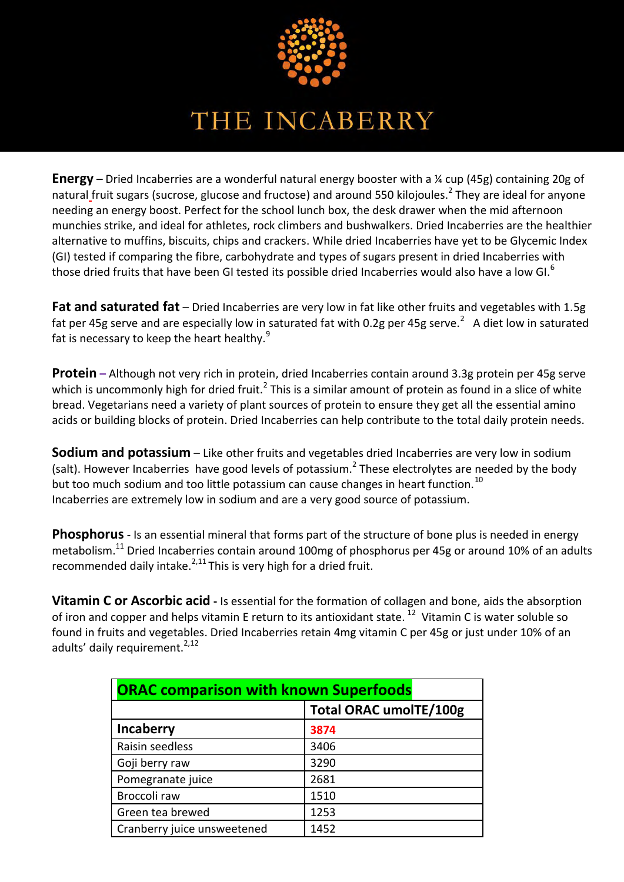

**Energy –** Dried Incaberries are a wonderful natural energy booster with a ¼ cup (45g) containing 20g of natural<sub>-</sub>fruit sugars (sucrose, glucose and fructose) and around 550 kilojoules.<sup>2</sup> They are ideal for anyone needing an energy boost. Perfect for the school lunch box, the desk drawer when the mid afternoon munchies strike, and ideal for athletes, rock climbers and bushwalkers. Dried Incaberries are the healthier alternative to muffins, biscuits, chips and crackers. While dried Incaberries have yet to be Glycemic Index (GI) tested if comparing the fibre, carbohydrate and types of sugars present in dried Incaberries with those dried fruits that have been GI tested its possible dried Incaberries would also have a low GI.<sup>6</sup>

**Fat and saturated fat** – Dried Incaberries are very low in fat like other fruits and vegetables with 1.5g fat per 45g serve and are especially low in saturated fat with 0.2g per 45g serve.<sup>2</sup> A diet low in saturated fat is necessary to keep the heart healthy.<sup>9</sup>

**Protein –** Although not very rich in protein, dried Incaberries contain around 3.3g protein per 45g serve which is uncommonly high for dried fruit.<sup>2</sup> This is a similar amount of protein as found in a slice of white bread. Vegetarians need a variety of plant sources of protein to ensure they get all the essential amino acids or building blocks of protein. Dried Incaberries can help contribute to the total daily protein needs.

**Sodium and potassium** – Like other fruits and vegetables dried Incaberries are very low in sodium (salt). However Incaberries have good levels of potassium.<sup>2</sup> These electrolytes are needed by the body but too much sodium and too little potassium can cause changes in heart function.<sup>10</sup> Incaberries are extremely low in sodium and are a very good source of potassium.

**Phosphorus**- Is an essential mineral that forms part of the structure of bone plus is needed in energy metabolism.<sup>11</sup> Dried Incaberries contain around 100mg of phosphorus per 45g or around 10% of an adults recommended daily intake. $^{2,11}$ This is very high for a dried fruit.

**Vitamin C or Ascorbic acid** - Is essential for the formation of collagen and bone, aids the absorption of iron and copper and helps vitamin E return to its antioxidant state.  $^{12}$  Vitamin C is water soluble so found in fruits and vegetables. Dried Incaberries retain 4mg vitamin C per 45g or just under 10% of an adults' daily requirement.<sup>2,12</sup>

| <b>ORAC comparison with known Superfoods</b> |                               |  |  |  |  |  |  |
|----------------------------------------------|-------------------------------|--|--|--|--|--|--|
|                                              | <b>Total ORAC umolTE/100g</b> |  |  |  |  |  |  |
| Incaberry                                    | 3874                          |  |  |  |  |  |  |
| Raisin seedless                              | 3406                          |  |  |  |  |  |  |
| Goji berry raw                               | 3290                          |  |  |  |  |  |  |
| Pomegranate juice                            | 2681                          |  |  |  |  |  |  |
| Broccoli raw                                 | 1510                          |  |  |  |  |  |  |
| Green tea brewed                             | 1253                          |  |  |  |  |  |  |
| Cranberry juice unsweetened                  | 1452                          |  |  |  |  |  |  |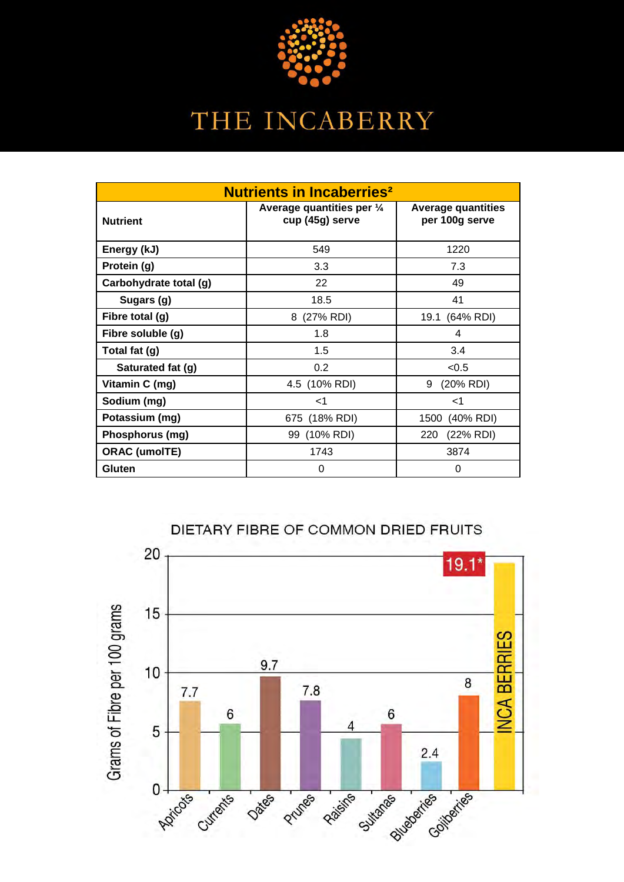

| <b>Nutrients in Incaberries<sup>2</sup></b> |                                               |                                             |  |  |  |  |  |  |
|---------------------------------------------|-----------------------------------------------|---------------------------------------------|--|--|--|--|--|--|
| <b>Nutrient</b>                             | Average quantities per 1/4<br>cup (45g) serve | <b>Average quantities</b><br>per 100g serve |  |  |  |  |  |  |
| Energy (kJ)                                 | 549                                           | 1220                                        |  |  |  |  |  |  |
| Protein (g)                                 | 3.3                                           | 7.3                                         |  |  |  |  |  |  |
| Carbohydrate total (g)                      | 22                                            | 49                                          |  |  |  |  |  |  |
| Sugars (g)                                  | 18.5                                          | 41                                          |  |  |  |  |  |  |
| Fibre total (g)                             | 8 (27% RDI)                                   | 19.1 (64% RDI)                              |  |  |  |  |  |  |
| Fibre soluble (g)                           | 1.8                                           | 4                                           |  |  |  |  |  |  |
| Total fat (g)                               | 1.5                                           | 3.4                                         |  |  |  |  |  |  |
| Saturated fat (g)                           | 0.2                                           | < 0.5                                       |  |  |  |  |  |  |
| Vitamin C (mg)                              | 4.5 (10% RDI)                                 | 9<br>(20% RDI)                              |  |  |  |  |  |  |
| Sodium (mg)                                 | ا>                                            | ا>                                          |  |  |  |  |  |  |
| Potassium (mg)                              | 675 (18% RDI)                                 | 1500 (40% RDI)                              |  |  |  |  |  |  |
| Phosphorus (mg)                             | 99 (10% RDI)                                  | (22% RDI)<br>220                            |  |  |  |  |  |  |
| <b>ORAC (umoITE)</b>                        | 1743                                          | 3874                                        |  |  |  |  |  |  |
| Gluten                                      | 0                                             | 0                                           |  |  |  |  |  |  |



DIETARY FIBRE OF COMMON DRIED FRUITS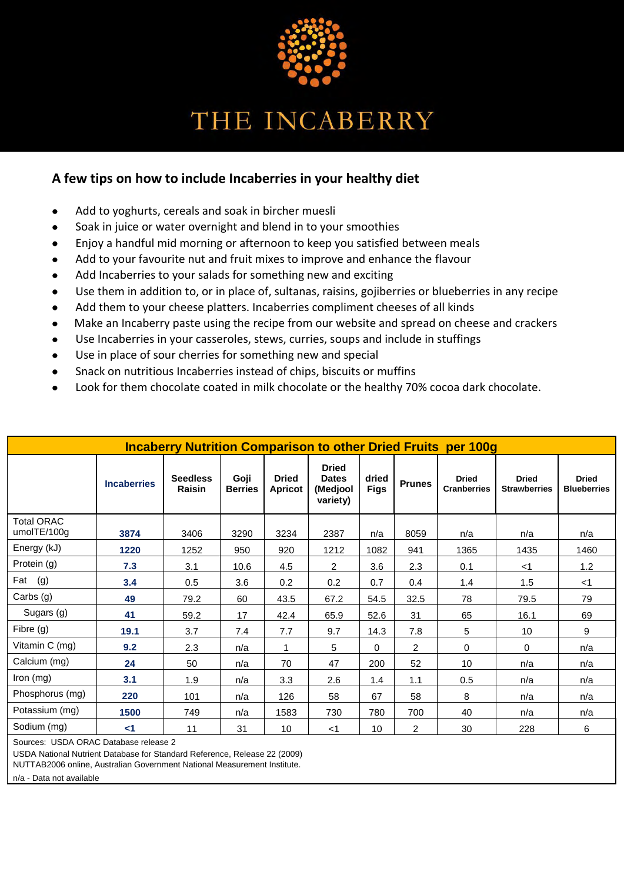

### **A few tips on how to include Incaberries in your healthy diet**

- $\bullet$ Add to yoghurts, cereals and soak in bircher muesli
- Soak in juice or water overnight and blend in to your smoothies
- Enjoy a handful mid morning or afternoon to keep you satisfied between meals  $\bullet$
- Add to your favourite nut and fruit mixes to improve and enhance the flavour
- Add Incaberries to your salads for something new and exciting
- Use them in addition to, or in place of, sultanas, raisins, gojiberries or blueberries in any recipe
- Add them to your cheese platters. Incaberries compliment cheeses of all kinds
- Make an Incaberry paste using the recipe from our website and spread on cheese and crackers
- Use Incaberries in your casseroles, stews, curries, soups and include in stuffings
- Use in place of sour cherries for something new and special
- Snack on nutritious Incaberries instead of chips, biscuits or muffins
- Look for them chocolate coated in milk chocolate or the healthy 70% cocoa dark chocolate.

| <b>Incaberry Nutrition Comparison to other Dried Fruits per 100g</b> |                    |                           |                        |                                |                                                      |                      |                |                                    |                                     |                                    |  |
|----------------------------------------------------------------------|--------------------|---------------------------|------------------------|--------------------------------|------------------------------------------------------|----------------------|----------------|------------------------------------|-------------------------------------|------------------------------------|--|
|                                                                      | <b>Incaberries</b> | <b>Seedless</b><br>Raisin | Goji<br><b>Berries</b> | <b>Dried</b><br><b>Apricot</b> | <b>Dried</b><br><b>Dates</b><br>(Medjool<br>variety) | dried<br><b>Figs</b> | <b>Prunes</b>  | <b>Dried</b><br><b>Cranberries</b> | <b>Dried</b><br><b>Strawberries</b> | <b>Dried</b><br><b>Blueberries</b> |  |
| <b>Total ORAC</b><br>umolTE/100g                                     | 3874               | 3406                      | 3290                   | 3234                           | 2387                                                 | n/a                  | 8059           | n/a                                | n/a                                 | n/a                                |  |
| Energy (kJ)                                                          | 1220               | 1252                      | 950                    | 920                            | 1212                                                 | 1082                 | 941            | 1365                               | 1435                                | 1460                               |  |
| Protein (g)                                                          | 7.3                | 3.1                       | 10.6                   | 4.5                            | $\overline{2}$                                       | 3.6                  | 2.3            | 0.1                                | $<$ 1                               | 1.2                                |  |
| Fat (g)                                                              | 3.4                | 0.5                       | 3.6                    | 0.2                            | 0.2                                                  | 0.7                  | 0.4            | 1.4                                | 1.5                                 | $<$ 1                              |  |
| Carbs (g)                                                            | 49                 | 79.2                      | 60                     | 43.5                           | 67.2                                                 | 54.5                 | 32.5           | 78                                 | 79.5                                | 79                                 |  |
| Sugars (g)                                                           | 41                 | 59.2                      | 17                     | 42.4                           | 65.9                                                 | 52.6                 | 31             | 65                                 | 16.1                                | 69                                 |  |
| Fibre (g)                                                            | 19.1               | 3.7                       | 7.4                    | 7.7                            | 9.7                                                  | 14.3                 | 7.8            | 5                                  | 10                                  | 9                                  |  |
| Vitamin C (mg)                                                       | 9.2                | 2.3                       | n/a                    | 1                              | 5                                                    | $\Omega$             | $\overline{c}$ | 0                                  | $\Omega$                            | n/a                                |  |
| Calcium (mg)                                                         | 24                 | 50                        | n/a                    | 70                             | 47                                                   | 200                  | 52             | 10                                 | n/a                                 | n/a                                |  |
| Iron (mg)                                                            | 3.1                | 1.9                       | n/a                    | 3.3                            | 2.6                                                  | 1.4                  | 1.1            | 0.5                                | n/a                                 | n/a                                |  |
| Phosphorus (mg)                                                      | 220                | 101                       | n/a                    | 126                            | 58                                                   | 67                   | 58             | 8                                  | n/a                                 | n/a                                |  |
| Potassium (mg)                                                       | 1500               | 749                       | n/a                    | 1583                           | 730                                                  | 780                  | 700            | 40                                 | n/a                                 | n/a                                |  |
| Sodium (mg)                                                          | $<$ 1              | 11                        | 31                     | 10                             | $<$ 1                                                | 10                   | $\overline{c}$ | 30                                 | 228                                 | 6                                  |  |

Sources: USDA ORAC Database release 2

USDA National Nutrient Database for Standard Reference, Release 22 (2009)

NUTTAB2006 online, Australian Government National Measurement Institute.

n/a - Data not available